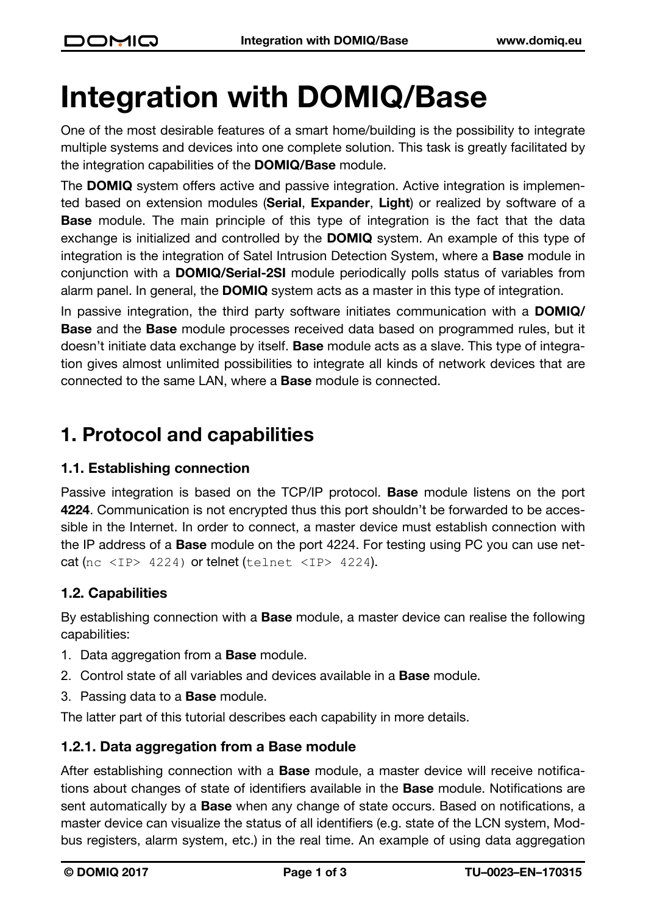# **Integration with DOMIQ/Base**

One of the most desirable features of a smart home/building is the possibility to integrate multiple systems and devices into one complete solution. This task is greatly facilitated by the integration capabilities of the **DOMIQ/Base** module.

The **DOMIQ** system offers active and passive integration. Active integration is implemented based on extension modules (**Serial**, **Expander**, **Light**) or realized by software of a **Base** module. The main principle of this type of integration is the fact that the data exchange is initialized and controlled by the **DOMIQ** system. An example of this type of integration is the integration of Satel Intrusion Detection System, where a **Base** module in conjunction with a **DOMIQ/Serial-2SI** module periodically polls status of variables from alarm panel. In general, the **DOMIQ** system acts as a master in this type of integration.

In passive integration, the third party software initiates communication with a **DOMIQ/ Base** and the **Base** module processes received data based on programmed rules, but it doesn't initiate data exchange by itself. **Base** module acts as a slave. This type of integration gives almost unlimited possibilities to integrate all kinds of network devices that are connected to the same LAN, where a **Base** module is connected.

# **1. Protocol and capabilities**

#### **1.1. Establishing connection**

Passive integration is based on the TCP/IP protocol. **Base** module listens on the port **4224**. Communication is not encrypted thus this port shouldn't be forwarded to be accessible in the Internet. In order to connect, a master device must establish connection with the IP address of a **Base** module on the port 4224. For testing using PC you can use netcat (nc  $\langle$ IP> 4224) or telnet (telnet  $\langle$ IP> 4224).

#### **1.2. Capabilities**

By establishing connection with a **Base** module, a master device can realise the following capabilities:

- 1. Data aggregation from a **Base** module.
- 2. Control state of all variables and devices available in a **Base** module.
- 3. Passing data to a **Base** module.

The latter part of this tutorial describes each capability in more details.

#### **1.2.1. Data aggregation from a Base module**

After establishing connection with a **Base** module, a master device will receive notifications about changes of state of identifiers available in the **Base** module. Notifications are sent automatically by a **Base** when any change of state occurs. Based on notifications, a master device can visualize the status of all identifiers (e.g. state of the LCN system, Modbus registers, alarm system, etc.) in the real time. An example of using data aggregation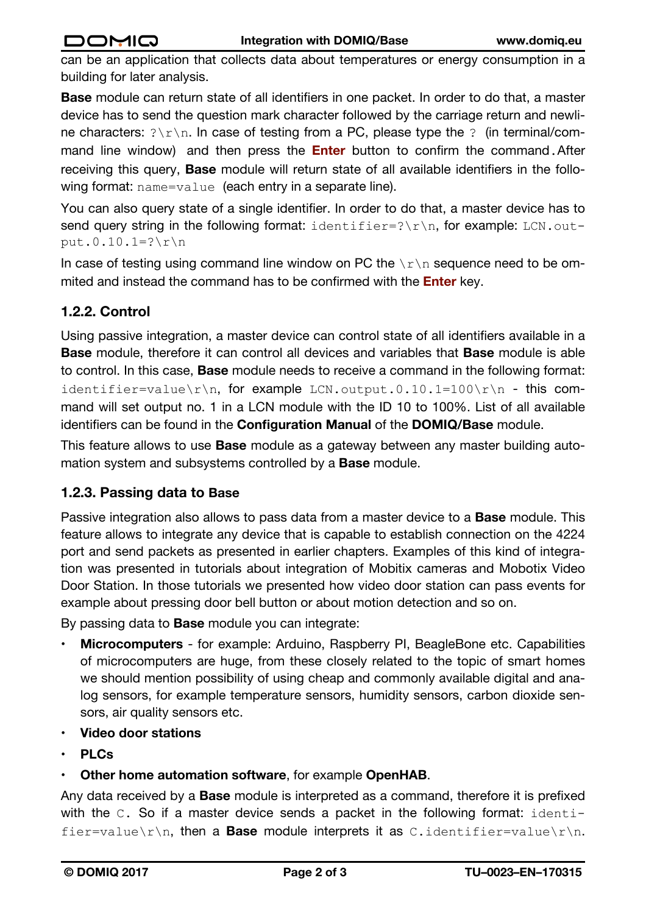can be an application that collects data about temperatures or energy consumption in a building for later analysis.

**Base** module can return state of all identifiers in one packet. In order to do that, a master device has to send the question mark character followed by the carriage return and newline characters:  $? \rightharpoonup r$ . In case of testing from a PC, please type the ? (in terminal/command line window) and then press the **Enter** button to confirm the command.After receiving this query, **Base** module will return state of all available identifiers in the following format: name=value (each entry in a separate line).

You can also query state of a single identifier. In order to do that, a master device has to send query string in the following format: identifier=? $\rceil r \nceil$ , for example: LCN.output.0.10.1= $?$ \r\n

In case of testing using command line window on PC the  $\ln \ln x$  sequence need to be ommited and instead the command has to be confirmed with the **Enter** key.

### **1.2.2. Control**

Using passive integration, a master device can control state of all identifiers available in a **Base** module, therefore it can control all devices and variables that **Base** module is able to control. In this case, **Base** module needs to receive a command in the following format: identifier=value\r\n, for example LCN.output.0.10.1=100\r\n - this command will set output no. 1 in a LCN module with the ID 10 to 100%. List of all available identifiers can be found in the **Configuration Manual** of the **DOMIQ/Base** module.

This feature allows to use **Base** module as a gateway between any master building automation system and subsystems controlled by a **Base** module.

#### **1.2.3. Passing data to Base**

Passive integration also allows to pass data from a master device to a **Base** module. This feature allows to integrate any device that is capable to establish connection on the 4224 port and send packets as presented in earlier chapters. Examples of this kind of integration was presented in tutorials about integration of Mobitix cameras and Mobotix Video Door Station. In those tutorials we presented how video door station can pass events for example about pressing door bell button or about motion detection and so on.

By passing data to **Base** module you can integrate:

- **Microcomputers** for example: Arduino, Raspberry PI, BeagleBone etc. Capabilities of microcomputers are huge, from these closely related to the topic of smart homes we should mention possibility of using cheap and commonly available digital and analog sensors, for example temperature sensors, humidity sensors, carbon dioxide sensors, air quality sensors etc.
- **Video door stations**
- **PLCs**
- **Other home automation software**, for example **OpenHAB**.

Any data received by a **Base** module is interpreted as a command, therefore it is prefixed with the C. So if a master device sends a packet in the following format: identifier=value\r\n, then a **Base** module interprets it as C.identifier=value\r\n.